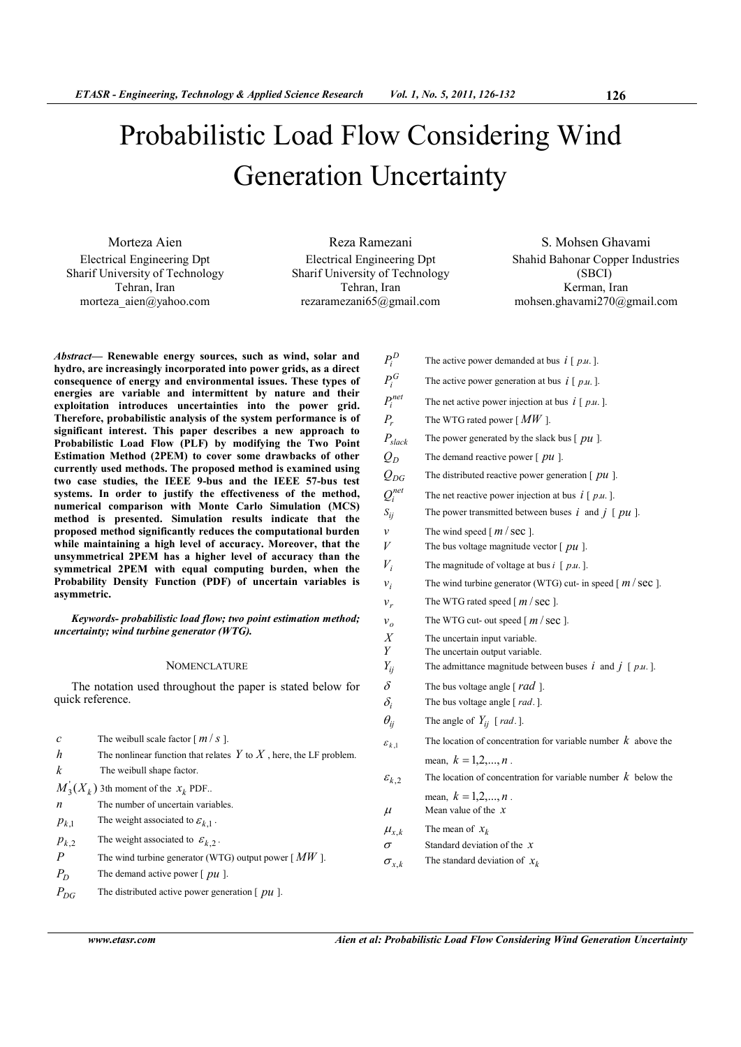# Probabilistic Load Flow Considering Wind Generation Uncertainty

Morteza Aien Electrical Engineering Dpt Sharif University of Technology Tehran, Iran morteza\_aien@yahoo.com

Reza Ramezani Electrical Engineering Dpt Sharif University of Technology Tehran, Iran rezaramezani65@gmail.com

S. Mohsen Ghavami Shahid Bahonar Copper Industries (SBCI) Kerman, Iran mohsen.ghavami270@gmail.com

*Abstract***— Renewable energy sources, such as wind, solar and hydro, are increasingly incorporated into power grids, as a direct consequence of energy and environmental issues. These types of energies are variable and intermittent by nature and their exploitation introduces uncertainties into the power grid. Therefore, probabilistic analysis of the system performance is of significant interest. This paper describes a new approach to Probabilistic Load Flow (PLF) by modifying the Two Point Estimation Method (2PEM) to cover some drawbacks of other currently used methods. The proposed method is examined using two case studies, the IEEE 9-bus and the IEEE 57-bus test systems. In order to justify the effectiveness of the method, numerical comparison with Monte Carlo Simulation (MCS) method is presented. Simulation results indicate that the proposed method significantly reduces the computational burden while maintaining a high level of accuracy. Moreover, that the unsymmetrical 2PEM has a higher level of accuracy than the symmetrical 2PEM with equal computing burden, when the Probability Density Function (PDF) of uncertain variables is asymmetric.** 

*Keywords- probabilistic load flow; two point estimation method; uncertainty; wind turbine generator (WTG).* 

## **NOMENCLATURE**

The notation used throughout the paper is stated below for quick reference.

| $\mathcal{C}_{0}$ | The weibull scale factor $[m/s]$ .                                     |
|-------------------|------------------------------------------------------------------------|
| h                 | The nonlinear function that relates $Y$ to $X$ , here, the LF problem. |
| k                 | The weibull shape factor.                                              |
|                   | $M_3(X_k)$ 3th moment of the $x_k$ PDF.                                |
| n                 | The number of uncertain variables.                                     |
| $p_{k,1}$         | The weight associated to $\varepsilon_{k-1}$ .                         |
| $p_{k,2}$         | The weight associated to $\varepsilon_{k,2}$ .                         |
| $\boldsymbol{P}$  | The wind turbine generator (WTG) output power $\lceil M W \rceil$ .    |
| $P_D$             | The demand active power $[pu]$ .                                       |
| $P_{DG}$          | The distributed active power generation $\lceil pu \rceil$ .           |

 $P_i^D$ The active power demanded at bus  $i \mid p.u.$ ].  $P_i^G$ The active power generation at bus  $i \mid p.u.$ ].  $P_i^{net}$ The net active power injection at bus  $i \mid p.u.$ ]. *Pr* The WTG rated power [ *MW* ].  $P_{\text{slack}}$  The power generated by the slack bus [  $pu$  ].  $Q<sub>D</sub>$  The demand reactive power [ *pu* ].  $Q_{DG}$  The distributed reactive power generation [  $pu$  ].  $Q_i^{net}$ The net reactive power injection at bus  $i \mid p.u.$  ].  $S_{ij}$  The power transmitted between buses *i* and *j* [ *pu* ]. *v* The wind speed  $[m/\sec]$ . *V* The bus voltage magnitude vector  $[pu]$ . *Vi* The magnitude of voltage at bus  $i \lfloor p.u. \rfloor$ .  $v_i$ The wind turbine generator (WTG) cut- in speed  $\lceil m / \text{sec} \rceil$ . *r* The WTG rated speed  $[m/sec]$ . *o* The WTG cut- out speed  $\lceil m / \text{sec} \rceil$ . *X* The uncertain input variable.<br>*Y* The uncertain output variable. The uncertain output variable. *Y*<sup>*i*</sup> The admittance magnitude between buses *i* and *j* [ *p.u.* ].  $\delta$  The bus voltage angle [ $rad$ ].  $\delta_i$  The bus voltage angle [ *rad*. ].  $\theta_{ij}$  The angle of  $Y_{ij}$  [*rad*.].  $\mathcal{E}_{k-1}$ The location of concentration for variable number  $k$  above the mean,  $k = 1, 2, ..., n$ .  $\varepsilon_{k,2}$ The location of concentration for variable number  $k$  below the mean,  $k = 1, 2, ..., n$ .  $\mu$  Mean value of the *x*  $\mu_{x,k}$  The mean of *<sup>k</sup> x* <sup>σ</sup> Standard deviation of the *x*  $\sigma_{x,k}$ The standard deviation of  $x_k$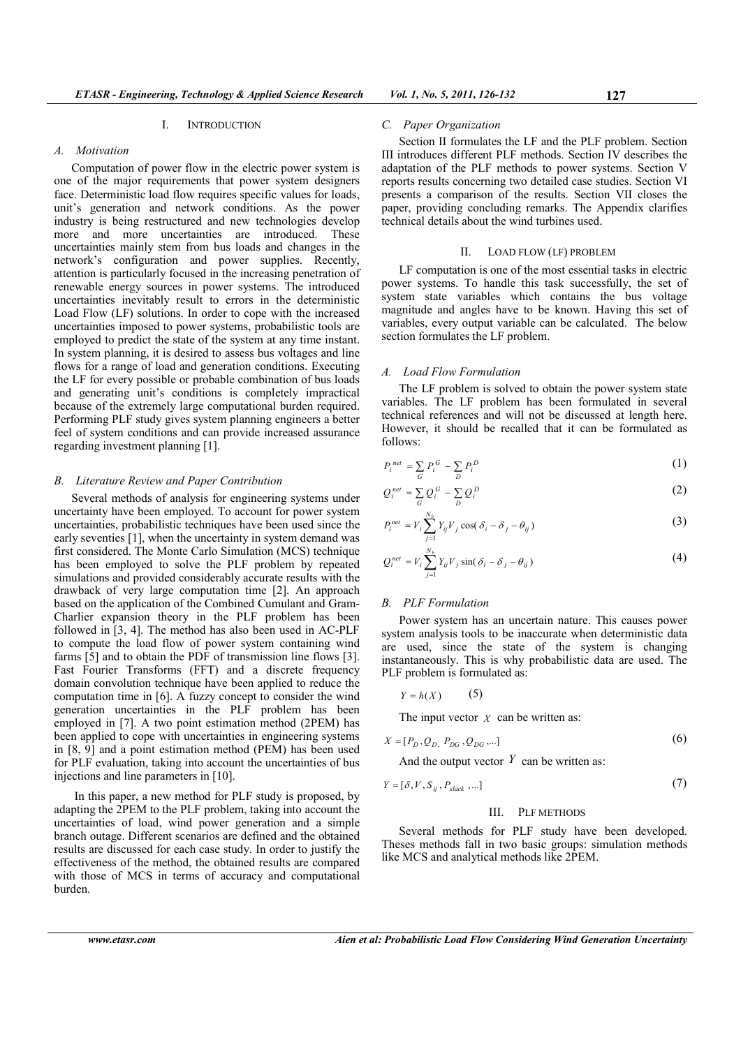## I. INTRODUCTION

## *A. Motivation*

Computation of power flow in the electric power system is one of the major requirements that power system designers face. Deterministic load flow requires specific values for loads, unit's generation and network conditions. As the power industry is being restructured and new technologies develop more and more uncertainties are introduced. These uncertainties mainly stem from bus loads and changes in the network's configuration and power supplies. Recently, attention is particularly focused in the increasing penetration of renewable energy sources in power systems. The introduced uncertainties inevitably result to errors in the deterministic Load Flow (LF) solutions. In order to cope with the increased uncertainties imposed to power systems, probabilistic tools are employed to predict the state of the system at any time instant. In system planning, it is desired to assess bus voltages and line flows for a range of load and generation conditions. Executing the LF for every possible or probable combination of bus loads and generating unit's conditions is completely impractical because of the extremely large computational burden required. Performing PLF study gives system planning engineers a better feel of system conditions and can provide increased assurance regarding investment planning [1].

## *B. Literature Review and Paper Contribution*

Several methods of analysis for engineering systems under uncertainty have been employed. To account for power system uncertainties, probabilistic techniques have been used since the early seventies [1], when the uncertainty in system demand was first considered. The Monte Carlo Simulation (MCS) technique has been employed to solve the PLF problem by repeated simulations and provided considerably accurate results with the drawback of very large computation time [2]. An approach based on the application of the Combined Cumulant and Gram-Charlier expansion theory in the PLF problem has been followed in [3, 4]. The method has also been used in AC-PLF to compute the load flow of power system containing wind farms [5] and to obtain the PDF of transmission line flows [3]. Fast Fourier Transforms (FFT) and a discrete frequency domain convolution technique have been applied to reduce the computation time in [6]. A fuzzy concept to consider the wind generation uncertainties in the PLF problem has been employed in [7]. A two point estimation method (2PEM) has been applied to cope with uncertainties in engineering systems in [8, 9] and a point estimation method (PEM) has been used for PLF evaluation, taking into account the uncertainties of bus injections and line parameters in [10].

 In this paper, a new method for PLF study is proposed, by adapting the 2PEM to the PLF problem, taking into account the uncertainties of load, wind power generation and a simple branch outage. Different scenarios are defined and the obtained results are discussed for each case study. In order to justify the effectiveness of the method, the obtained results are compared with those of MCS in terms of accuracy and computational burden.

#### *C. Paper Organization*

Section II formulates the LF and the PLF problem. Section III introduces different PLF methods. Section IV describes the adaptation of the PLF methods to power systems. Section V reports results concerning two detailed case studies. Section VI presents a comparison of the results. Section VII closes the paper, providing concluding remarks. The Appendix clarifies technical details about the wind turbines used.

## II. LOAD FLOW (LF) PROBLEM

LF computation is one of the most essential tasks in electric power systems. To handle this task successfully, the set of system state variables which contains the bus voltage magnitude and angles have to be known. Having this set of variables, every output variable can be calculated. The below section formulates the LF problem.

## *A. Load Flow Formulation*

The LF problem is solved to obtain the power system state variables. The LF problem has been formulated in several technical references and will not be discussed at length here. However, it should be recalled that it can be formulated as follows:

$$
P_i^{net} = \sum_G P_i^G - \sum_D P_i^D \tag{1}
$$

$$
Q_i^{net} = \sum_G Q_i^G - \sum_D Q_i^D
$$
 (2)

$$
P_i^{net} = V_i \sum_{j=1}^{N_b} Y_{ij} V_j \cos(\delta_i - \delta_j - \theta_{ij})
$$
\n(3)

$$
Q_i^{net} = V_i \sum_{j=1}^{N_b} Y_{ij} V_j \sin(\delta_i - \delta_j - \theta_{ij})
$$
\n(4)

## *B. PLF Formulation*

Power system has an uncertain nature. This causes power system analysis tools to be inaccurate when deterministic data are used, since the state of the system is changing instantaneously. This is why probabilistic data are used. The PLF problem is formulated as:

$$
Y = h(X) \tag{5}
$$

The input vector  $X$  can be written as:

$$
X = [P_D, Q_D, P_{DG}, Q_{DG}, \dots]
$$
  
And the output vector Y can be written as: (6)

$$
Y = [\delta, V, S_{ij}, P_{slack}, \dots] \tag{7}
$$

#### III. PLF METHODS

Several methods for PLF study have been developed. Theses methods fall in two basic groups: simulation methods like MCS and analytical methods like 2PEM.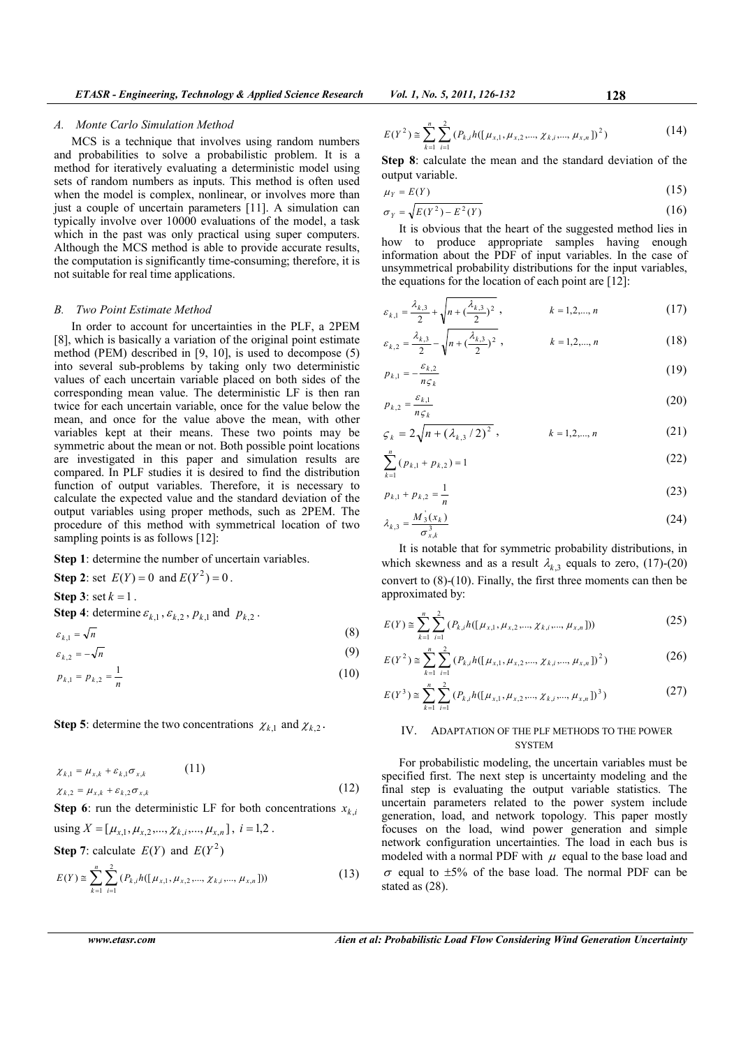## *A. Monte Carlo Simulation Method*

MCS is a technique that involves using random numbers and probabilities to solve a probabilistic problem. It is a method for iteratively evaluating a deterministic model using sets of random numbers as inputs. This method is often used when the model is complex, nonlinear, or involves more than just a couple of uncertain parameters [11]. A simulation can typically involve over 10000 evaluations of the model, a task which in the past was only practical using super computers. Although the MCS method is able to provide accurate results, the computation is significantly time-consuming; therefore, it is not suitable for real time applications.

#### *B. Two Point Estimate Method*

In order to account for uncertainties in the PLF, a 2PEM [8], which is basically a variation of the original point estimate method (PEM) described in [9, 10], is used to decompose (5) into several sub-problems by taking only two deterministic values of each uncertain variable placed on both sides of the corresponding mean value. The deterministic LF is then ran twice for each uncertain variable, once for the value below the mean, and once for the value above the mean, with other variables kept at their means. These two points may be symmetric about the mean or not. Both possible point locations are investigated in this paper and simulation results are compared. In PLF studies it is desired to find the distribution function of output variables. Therefore, it is necessary to calculate the expected value and the standard deviation of the output variables using proper methods, such as 2PEM. The procedure of this method with symmetrical location of two sampling points is as follows [12]:

**Step 1**: determine the number of uncertain variables.

**Step 2:** set 
$$
E(Y) = 0
$$
 and  $E(Y^2) = 0$ .  
\n**Step 3:** set  $k = 1$ .  
\n**Step 4:** determine  $\varepsilon_{k,1}, \varepsilon_{k,2}, p_{k,1}$  and  $p_{k,2}$ .  
\n $\varepsilon_{k,1} = \sqrt{n}$  (8)  
\n $\varepsilon_{k,2} = -\sqrt{n}$  (9)

$$
p_{k,1} = p_{k,2} = \frac{1}{4} \tag{10}
$$

$$
r_{\kappa,1} = r_{\kappa,2}
$$

**Step 5**: determine the two concentrations  $\chi_{k,1}$  and  $\chi_{k,2}$ .

$$
\chi_{k,1} = \mu_{x,k} + \varepsilon_{k,1} \sigma_{x,k} \tag{11}
$$
\n
$$
\chi_{k,2} = \mu_{x,k} + \varepsilon_{k,2} \sigma_{x,k} \tag{12}
$$

**Step 6**: run the deterministic LF for both concentrations  $x_{k,i}$ 

 $using X = [\mu_{x,1}, \mu_{x,2}, ..., \chi_{k,i}, ..., \mu_{x,n}], i = 1,2$ .

**Step 7**: calculate 
$$
E(Y)
$$
 and  $E(Y^2)$ 

$$
E(Y) \cong \sum_{k=1}^{n} \sum_{i=1}^{2} (P_{k,i} h([\mu_{x,1}, \mu_{x,2}, ..., \chi_{k,i}, ..., \mu_{x,n}]))
$$
(13)

$$
701. 1, No. 5, 2011, 126-132
$$

$$
E(Y^2) \cong \sum_{k=1}^n \sum_{i=1}^2 (P_{k,i} h([\mu_{x,1}, \mu_{x,2}, ..., \chi_{k,i}, ..., \mu_{x,n}])^2)
$$
 (14)

**Step 8**: calculate the mean and the standard deviation of the output variable.

$$
\mu_Y = E(Y) \tag{15}
$$

$$
\sigma_Y = \sqrt{E(Y^2) - E^2(Y)}\tag{16}
$$

It is obvious that the heart of the suggested method lies in how to produce appropriate samples having enough information about the PDF of input variables. In the case of unsymmetrical probability distributions for the input variables, the equations for the location of each point are [12]:

$$
\varepsilon_{k,1} = \frac{\lambda_{k,3}}{2} + \sqrt{n + \left(\frac{\lambda_{k,3}}{2}\right)^2}, \qquad k = 1, 2, ..., n \tag{17}
$$

$$
\varepsilon_{k,2} = \frac{\lambda_{k,3}}{2} - \sqrt{n + (\frac{\lambda_{k,3}}{2})^2}, \qquad k = 1, 2, ..., n
$$
 (18)

$$
p_{k,1} = -\frac{\varepsilon_{k,2}}{n\varsigma_k} \tag{19}
$$

$$
p_{k,2} = \frac{\varepsilon_{k,1}}{n \varsigma_k} \tag{20}
$$

$$
\varsigma_{k} = 2\sqrt{n + (\lambda_{k,3}/2)^{2}} , \qquad k = 1, 2, ..., n
$$
 (21)

$$
\sum_{k=1}^{n} (p_{k,1} + p_{k,2}) = 1
$$
 (22)

$$
p_{k,1} + p_{k,2} = \frac{1}{n} \tag{23}
$$

$$
\lambda_{k,3} = \frac{M_3(x_k)}{\sigma_{x,k}^3} \tag{24}
$$

It is notable that for symmetric probability distributions, in which skewness and as a result  $\lambda_{k,3}$  equals to zero, (17)-(20) convert to (8)-(10). Finally, the first three moments can then be approximated by:

$$
E(Y) \cong \sum_{k=1}^{n} \sum_{i=1}^{2} (P_{k,i} h([\mu_{x,1}, \mu_{x,2}, ..., \chi_{k,i}, ..., \mu_{x,n}]))
$$
(25)

$$
E(Y^2) \cong \sum_{k=1}^n \sum_{i=1}^2 (P_{k,i} h([\mu_{x,1}, \mu_{x,2}, ..., \chi_{k,i}, ..., \mu_{x,n}])^2)
$$
 (26)

$$
E(Y^3) \cong \sum_{k=1}^n \sum_{i=1}^2 (P_{k,i} h([\mu_{x,1}, \mu_{x,2}, ..., \chi_{k,i}, ..., \mu_{x,n}])^3)
$$
 (27)

# IV. ADAPTATION OF THE PLF METHODS TO THE POWER **SYSTEM**

For probabilistic modeling, the uncertain variables must be specified first. The next step is uncertainty modeling and the final step is evaluating the output variable statistics. The uncertain parameters related to the power system include generation, load, and network topology. This paper mostly focuses on the load, wind power generation and simple network configuration uncertainties. The load in each bus is modeled with a normal PDF with  $\mu$  equal to the base load and  $\sigma$  equal to  $\pm 5\%$  of the base load. The normal PDF can be stated as (28).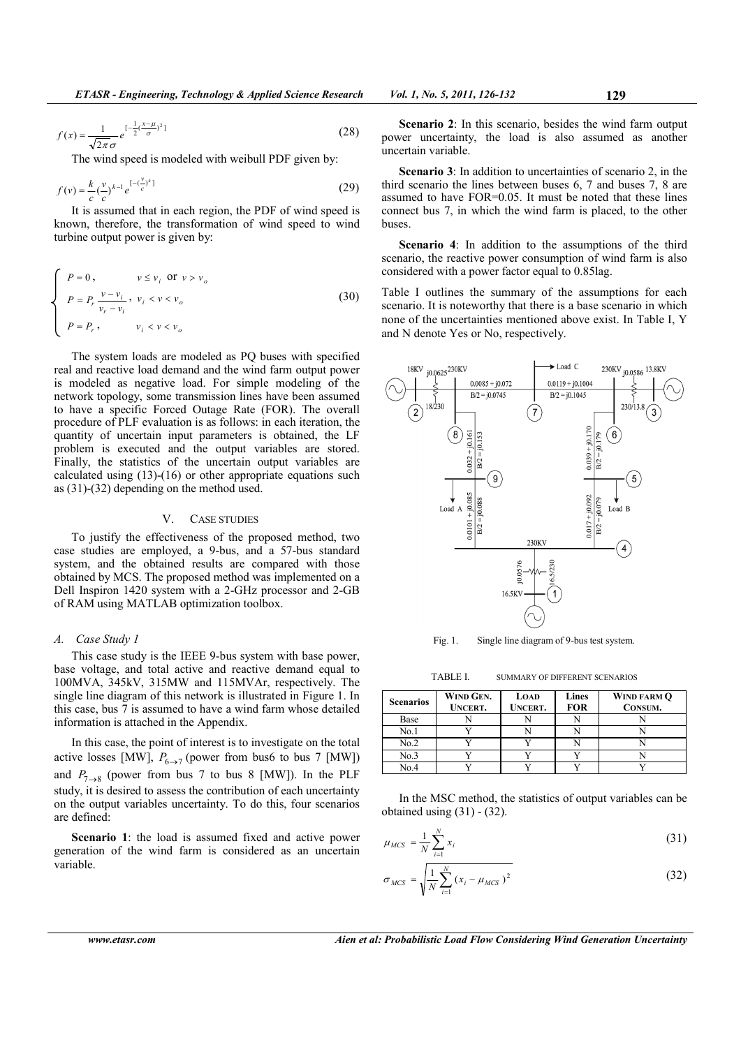$$
f(x) = \frac{1}{\sqrt{2\pi}\sigma} e^{-\frac{1}{2}\left(\frac{x-\mu}{\sigma}\right)^2}
$$
 (28)

The wind speed is modeled with weibull PDF given by:

$$
f(v) = \frac{k}{c} \left(\frac{v}{c}\right)^{k-1} e^{\left[-\left(\frac{v}{c}\right)^k\right]}
$$
 (29)

It is assumed that in each region, the PDF of wind speed is known, therefore, the transformation of wind speed to wind turbine output power is given by:

$$
\begin{cases}\nP = 0, & v \le v_i \text{ or } v > v_o \\
P = P_r \frac{v - v_i}{v_r - v_i}, & v_i < v < v_o \\
P = P_r, & v_i < v < v_o\n\end{cases}
$$
\n(30)

The system loads are modeled as PQ buses with specified real and reactive load demand and the wind farm output power is modeled as negative load. For simple modeling of the network topology, some transmission lines have been assumed to have a specific Forced Outage Rate (FOR). The overall procedure of PLF evaluation is as follows: in each iteration, the quantity of uncertain input parameters is obtained, the LF problem is executed and the output variables are stored. Finally, the statistics of the uncertain output variables are calculated using (13)-(16) or other appropriate equations such as (31)-(32) depending on the method used.

#### V. CASE STUDIES

To justify the effectiveness of the proposed method, two case studies are employed, a 9-bus, and a 57-bus standard system, and the obtained results are compared with those obtained by MCS. The proposed method was implemented on a Dell Inspiron 1420 system with a 2-GHz processor and 2-GB of RAM using MATLAB optimization toolbox.

## *A. Case Study 1*

This case study is the IEEE 9-bus system with base power, base voltage, and total active and reactive demand equal to 100MVA, 345kV, 315MW and 115MVAr, respectively. The single line diagram of this network is illustrated in Figure 1. In this case, bus 7 is assumed to have a wind farm whose detailed information is attached in the Appendix.

In this case, the point of interest is to investigate on the total active losses [MW],  $P_{6\rightarrow 7}$  (power from bus6 to bus 7 [MW]) and  $P_{7\rightarrow 8}$  (power from bus 7 to bus 8 [MW]). In the PLF study, it is desired to assess the contribution of each uncertainty on the output variables uncertainty. To do this, four scenarios are defined:

**Scenario 1**: the load is assumed fixed and active power generation of the wind farm is considered as an uncertain variable.

**Scenario 2**: In this scenario, besides the wind farm output power uncertainty, the load is also assumed as another uncertain variable.

**Scenario 3**: In addition to uncertainties of scenario 2, in the third scenario the lines between buses 6, 7 and buses 7, 8 are assumed to have FOR=0.05. It must be noted that these lines connect bus 7, in which the wind farm is placed, to the other buses.

**Scenario 4**: In addition to the assumptions of the third scenario, the reactive power consumption of wind farm is also considered with a power factor equal to 0.85lag.

Table I outlines the summary of the assumptions for each scenario. It is noteworthy that there is a base scenario in which none of the uncertainties mentioned above exist. In Table I, Y and N denote Yes or No, respectively.



Fig. 1. Single line diagram of 9-bus test system.

TABLE I. SUMMARY OF DIFFERENT SCENARIOS

| <b>Scenarios</b> | WIND GEN.<br><b>UNCERT.</b> | <b>LOAD</b><br><b>UNCERT.</b> | Lines<br><b>FOR</b> | WIND FARM O<br>CONSUM. |
|------------------|-----------------------------|-------------------------------|---------------------|------------------------|
| Base             |                             |                               |                     |                        |
| No.1             |                             |                               |                     |                        |
| No.2             |                             |                               |                     |                        |
| No.3             |                             |                               |                     |                        |
| No.4             |                             |                               |                     |                        |

In the MSC method, the statistics of output variables can be obtained using  $(31) - (32)$ .

$$
\mu_{MCS} = \frac{1}{N} \sum_{i=1}^{N} x_i
$$
\n(31)

$$
\sigma_{MCS} = \sqrt{\frac{1}{N} \sum_{i=1}^{N} (x_i - \mu_{MCS})^2}
$$
 (32)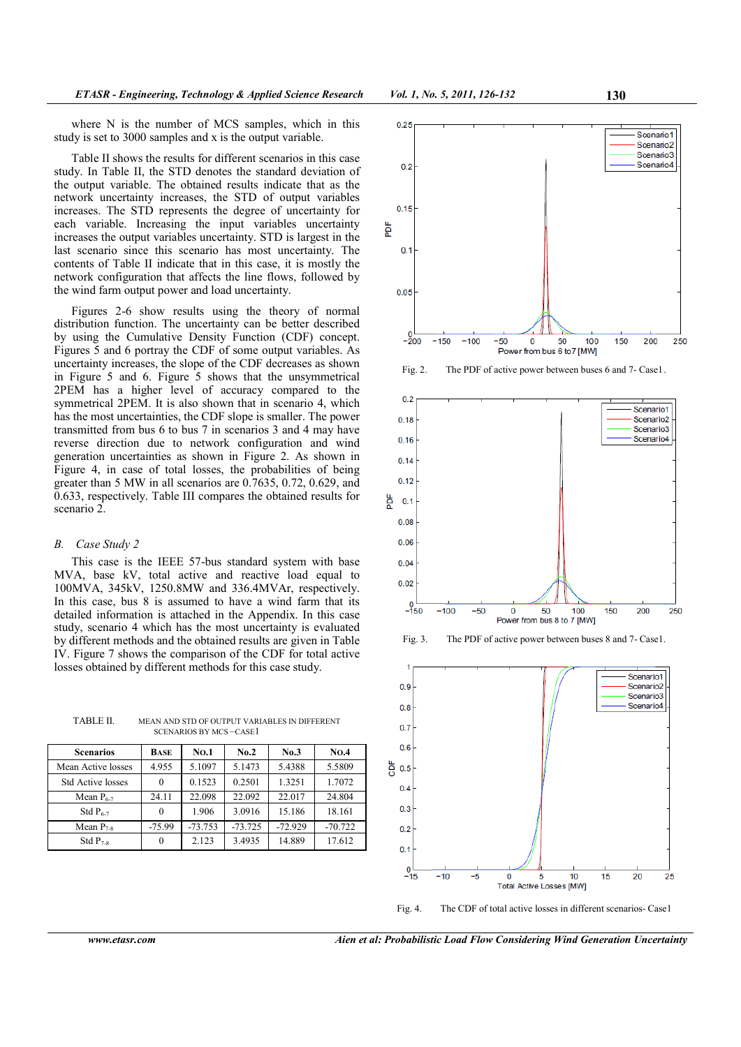where N is the number of MCS samples, which in this study is set to 3000 samples and x is the output variable.

Table II shows the results for different scenarios in this case study. In Table II, the STD denotes the standard deviation of the output variable. The obtained results indicate that as the network uncertainty increases, the STD of output variables increases. The STD represents the degree of uncertainty for each variable. Increasing the input variables uncertainty increases the output variables uncertainty. STD is largest in the last scenario since this scenario has most uncertainty. The contents of Table II indicate that in this case, it is mostly the network configuration that affects the line flows, followed by the wind farm output power and load uncertainty.

Figures 2-6 show results using the theory of normal distribution function. The uncertainty can be better described by using the Cumulative Density Function (CDF) concept. Figures 5 and 6 portray the CDF of some output variables. As uncertainty increases, the slope of the CDF decreases as shown in Figure 5 and 6. Figure 5 shows that the unsymmetrical 2PEM has a higher level of accuracy compared to the symmetrical 2PEM. It is also shown that in scenario 4, which has the most uncertainties, the CDF slope is smaller. The power transmitted from bus 6 to bus 7 in scenarios 3 and 4 may have reverse direction due to network configuration and wind generation uncertainties as shown in Figure 2. As shown in Figure 4, in case of total losses, the probabilities of being greater than 5 MW in all scenarios are 0.7635, 0.72, 0.629, and 0.633, respectively. Table III compares the obtained results for scenario 2.

## *B. Case Study 2*

This case is the IEEE 57-bus standard system with base MVA, base kV, total active and reactive load equal to 100MVA, 345kV, 1250.8MW and 336.4MVAr, respectively. In this case, bus 8 is assumed to have a wind farm that its detailed information is attached in the Appendix. In this case study, scenario 4 which has the most uncertainty is evaluated by different methods and the obtained results are given in Table IV. Figure 7 shows the comparison of the CDF for total active losses obtained by different methods for this case study.

TABLE II. MEAN AND STD OF OUTPUT VARIABLES IN DIFFERENT SCENARIOS BY MCS –CASE1

| <b>Scenarios</b>         | BASE     | <b>NO.1</b> | No.2      | No.3      | <b>NO.4</b> |
|--------------------------|----------|-------------|-----------|-----------|-------------|
| Mean Active losses       | 4.955    | 5.1097      | 5.1473    | 5.4388    | 5.5809      |
| <b>Std Active losses</b> | $\Omega$ | 0.1523      | 0.2501    | 1.3251    | 1.7072      |
| Mean $P_{6-7}$           | 24.11    | 22.098      | 22.092    | 22.017    | 24.804      |
| Std $P_{6-7}$            | $\Omega$ | 1.906       | 3.0916    | 15.186    | 18.161      |
| Mean $P_{7,s}$           | $-75.99$ | $-73.753$   | $-73.725$ | $-72.929$ | $-70.722$   |
| Std $P_{7.8}$            | $\Omega$ | 2.123       | 3.4935    | 14.889    | 17.612      |



Fig. 2. The PDF of active power between buses 6 and 7- Case1 .







Fig. 4. The CDF of total active losses in different scenarios- Case1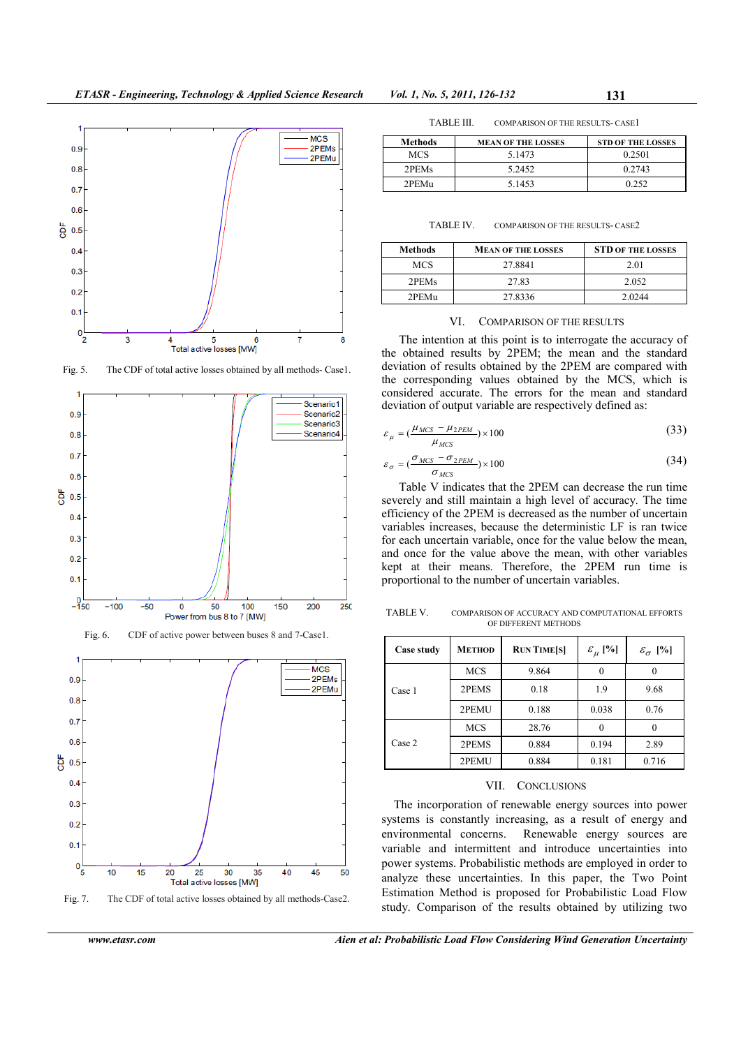

Fig. 5. The CDF of total active losses obtained by all methods- Case1.



Fig. 7. The CDF of total active losses obtained by all methods-Case2.

Total active losses [MW]

30

35

40

45

50

25

10

15

20

 $0.2$  $0.1$ 

 $0\frac{1}{5}$ 

| TABLE III. | COMPARISON OF THE RESULTS- CASE I |
|------------|-----------------------------------|
|------------|-----------------------------------|

| Methods           | <b>MEAN OF THE LOSSES</b> | <b>STD OF THE LOSSES</b> |
|-------------------|---------------------------|--------------------------|
| MCS               | 5.1473                    | 0.2501                   |
| 2PEM <sub>s</sub> | 5.2452                    | 0.2743                   |
| 2PEM <sub>U</sub> | 5 1 4 5 3                 | 0.252                    |

TABLE IV. COMPARISON OF THE RESULTS- CASE2

| <b>Methods</b>    | <b>MEAN OF THE LOSSES</b> | <b>STD OF THE LOSSES</b> |  |
|-------------------|---------------------------|--------------------------|--|
| <b>MCS</b>        | 27.8841                   | 2.01                     |  |
| 2PEM <sub>s</sub> | 27.83                     | 2.052                    |  |
| 2PEMu             | 27.8336                   | 2.0244                   |  |

## VI. COMPARISON OF THE RESULTS

The intention at this point is to interrogate the accuracy of the obtained results by 2PEM; the mean and the standard deviation of results obtained by the 2PEM are compared with the corresponding values obtained by the MCS, which is considered accurate. The errors for the mean and standard deviation of output variable are respectively defined as:

$$
\varepsilon_{\mu} = \left(\frac{\mu_{MCS} - \mu_{2PEM}}{\mu_{MCS}}\right) \times 100\tag{33}
$$

$$
\varepsilon_{\sigma} = \left(\frac{\sigma_{MCS} - \sigma_{2PEM}}{\sigma_{MCS}}\right) \times 100\tag{34}
$$

Table V indicates that the 2PEM can decrease the run time severely and still maintain a high level of accuracy. The time efficiency of the 2PEM is decreased as the number of uncertain variables increases, because the deterministic LF is ran twice for each uncertain variable, once for the value below the mean, and once for the value above the mean, with other variables kept at their means. Therefore, the 2PEM run time is proportional to the number of uncertain variables.

TABLE V. COMPARISON OF ACCURACY AND COMPUTATIONAL EFFORTS OF DIFFERENT METHODS

| Case study | <b>METHOD</b> | <b>RUN TIME[S]</b> | $\varepsilon_{\mu}$ [%] | $\varepsilon_{\sigma}$ [%] |
|------------|---------------|--------------------|-------------------------|----------------------------|
|            | <b>MCS</b>    | 9.864              |                         |                            |
| Case 1     | 2PEMS         | 0.18               | 1.9                     | 9.68                       |
|            | 2PEMU         | 0.188              | 0.038                   | 0.76                       |
|            | <b>MCS</b>    | 28.76              |                         |                            |
| Case 2     | 2PEMS         | 0.884              | 0.194                   | 2.89                       |
|            | 2PEMU         | 0.884              | 0.181                   | 0.716                      |

## VII. CONCLUSIONS

The incorporation of renewable energy sources into power systems is constantly increasing, as a result of energy and environmental concerns. Renewable energy sources are variable and intermittent and introduce uncertainties into power systems. Probabilistic methods are employed in order to analyze these uncertainties. In this paper, the Two Point Estimation Method is proposed for Probabilistic Load Flow study. Comparison of the results obtained by utilizing two